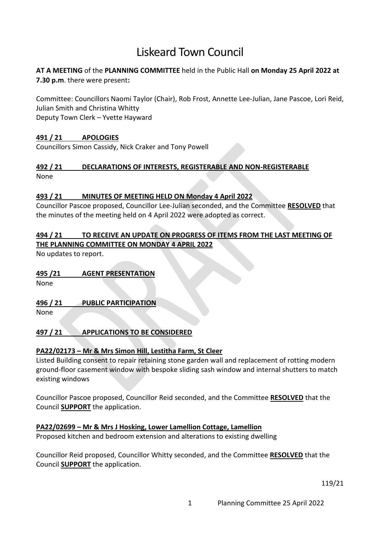# Liskeard Town Council

## **AT A MEETING** of the **PLANNING COMMITTEE** held in the Public Hall **on Monday 25 April 2022 at 7.30 p.m**. there were present**:**

Committee: Councillors Naomi Taylor (Chair), Rob Frost, Annette Lee-Julian, Jane Pascoe, Lori Reid, Julian Smith and Christina Whitty Deputy Town Clerk – Yvette Hayward

### **491 / 21 APOLOGIES**

Councillors Simon Cassidy, Nick Craker and Tony Powell

#### **492 / 21 DECLARATIONS OF INTERESTS, REGISTERABLE AND NON-REGISTERABLE** None

#### **493 / 21 MINUTES OF MEETING HELD ON Monday 4 April 2022**

Councillor Pascoe proposed, Councillor Lee-Julian seconded, and the Committee **RESOLVED** that the minutes of the meeting held on 4 April 2022 were adopted as correct.

#### **494 / 21 TO RECEIVE AN UPDATE ON PROGRESS OF ITEMS FROM THE LAST MEETING OF THE PLANNING COMMITTEE ON MONDAY 4 APRIL 2022**

No updates to report.

# **495 /21 AGENT PRESENTATION**

None

# **496 / 21 PUBLIC PARTICIPATION**

None

# **497 / 21 APPLICATIONS TO BE CONSIDERED**

# **PA22/02173 – Mr & Mrs Simon Hill, Lestitha Farm, St Cleer**

Listed Building consent to repair retaining stone garden wall and replacement of rotting modern ground-floor casement window with bespoke sliding sash window and internal shutters to match existing windows

Councillor Pascoe proposed, Councillor Reid seconded, and the Committee **RESOLVED** that the Council **SUPPORT** the application.

# **PA22/02699 – Mr & Mrs J Hosking, Lower Lamellion Cottage, Lamellion**

Proposed kitchen and bedroom extension and alterations to existing dwelling

Councillor Reid proposed, Councillor Whitty seconded, and the Committee **RESOLVED** that the Council **SUPPORT** the application.

119/21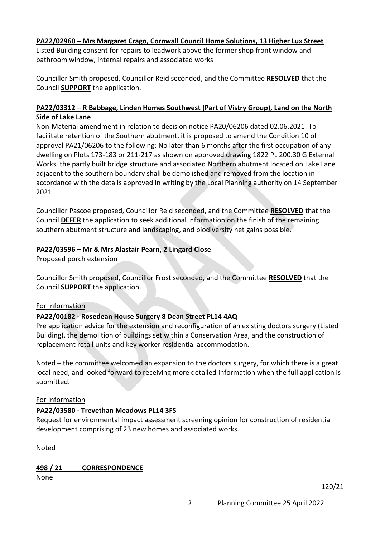## **PA22/02960 – Mrs Margaret Crago, Cornwall Council Home Solutions, 13 Higher Lux Street**

Listed Building consent for repairs to leadwork above the former shop front window and bathroom window, internal repairs and associated works

Councillor Smith proposed, Councillor Reid seconded, and the Committee **RESOLVED** that the Council **SUPPORT** the application.

## **PA22/03312 – R Babbage, Linden Homes Southwest (Part of Vistry Group), Land on the North Side of Lake Lane**

Non-Material amendment in relation to decision notice PA20/06206 dated 02.06.2021: To facilitate retention of the Southern abutment, it is proposed to amend the Condition 10 of approval PA21/06206 to the following: No later than 6 months after the first occupation of any dwelling on Plots 173-183 or 211-217 as shown on approved drawing 1822 PL 200.30 G External Works, the partly built bridge structure and associated Northern abutment located on Lake Lane adjacent to the southern boundary shall be demolished and removed from the location in accordance with the details approved in writing by the Local Planning authority on 14 September 2021

Councillor Pascoe proposed, Councillor Reid seconded, and the Committee **RESOLVED** that the Council **DEFER** the application to seek additional information on the finish of the remaining southern abutment structure and landscaping, and biodiversity net gains possible.

### **PA22/03596 – Mr & Mrs Alastair Pearn, 2 Lingard Close**

Proposed porch extension

Councillor Smith proposed, Councillor Frost seconded, and the Committee **RESOLVED** that the Council **SUPPORT** the application.

#### For Information

# **PA22/00182 - Rosedean House Surgery 8 Dean Street PL14 4AQ**

Pre application advice for the extension and reconfiguration of an existing doctors surgery (Listed Building), the demolition of buildings set within a Conservation Area, and the construction of replacement retail units and key worker residential accommodation.

Noted – the committee welcomed an expansion to the doctors surgery, for which there is a great local need, and looked forward to receiving more detailed information when the full application is submitted.

#### For Information

# **PA22/03580 - Trevethan Meadows PL14 3FS**

Request for environmental impact assessment screening opinion for construction of residential development comprising of 23 new homes and associated works.

Noted

**498 / 21 CORRESPONDENCE**

None